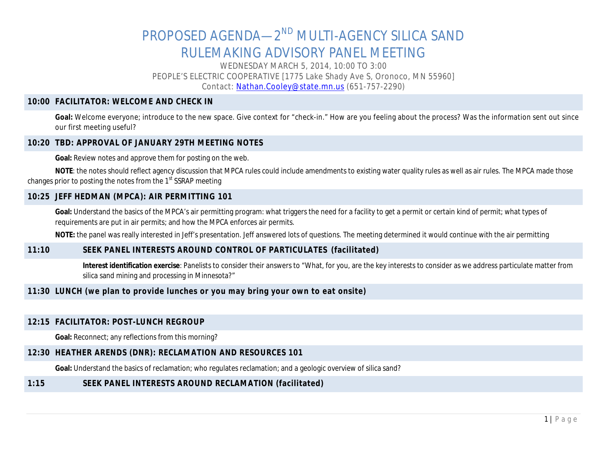# PROPOSED AGENDA—2<sup>ND</sup> MULTI-AGENCY SILICA SAND RULEMAKING ADVISORY PANEL MEETING

WEDNESDAY MARCH 5, 2014, 10:00 TO 3:00 PEOPLE'S ELECTRIC COOPERATIVE [1775 Lake Shady Ave S, Oronoco, MN 55960] Contact: [Nathan.Cooley@state.mn.us](mailto:Nathan.Cooley@state.mn.us) (651-757-2290)

#### **10:00 FACILITATOR: WELCOME AND CHECK IN**

Goal: Welcome everyone; introduce to the new space. Give context for "check-in." How are you feeling about the process? Was the information sent out since our first meeting useful?

#### **10:20 TBD: APPROVAL OF JANUARY 29TH MEETING NOTES**

**Goal:** Review notes and approve them for posting on the web.

NOTE: the notes should reflect agency discussion that MPCA rules could include amendments to existing water quality rules as well as air rules. The MPCA made those changes prior to posting the notes from the 1<sup>st</sup> SSRAP meeting

#### **10:25 JEFF HEDMAN (MPCA): AIR PERMITTING 101**

Goal: Understand the basics of the MPCA's air permitting program: what triggers the need for a facility to get a permit or certain kind of permit; what types of requirements are put in air permits; and how the MPCA enforces air permits.

**NOTE:** the panel was really interested in Jeff's presentation. Jeff answered lots of questions. The meeting determined it would continue with the air permitting

#### **11:10 SEEK PANEL INTERESTS AROUND CONTROL OF PARTICULATES (facilitated)**

**Interest identification exercise**: Panelists to consider their answers to "What, for you, are the key interests to consider as we address particulate matter from silica sand mining and processing in Minnesota?"

#### **11:30 LUNCH (we plan to provide lunches or you may bring your own to eat onsite)**

#### **12:15 FACILITATOR: POST-LUNCH REGROUP**

**Goal:** Reconnect; any reflections from this morning?

#### **12:30 HEATHER ARENDS (DNR): RECLAMATION AND RESOURCES 101**

**Goal:** Understand the basics of reclamation; who regulates reclamation; and a geologic overview of silica sand?

#### **1:15 SEEK PANEL INTERESTS AROUND RECLAMATION (facilitated)**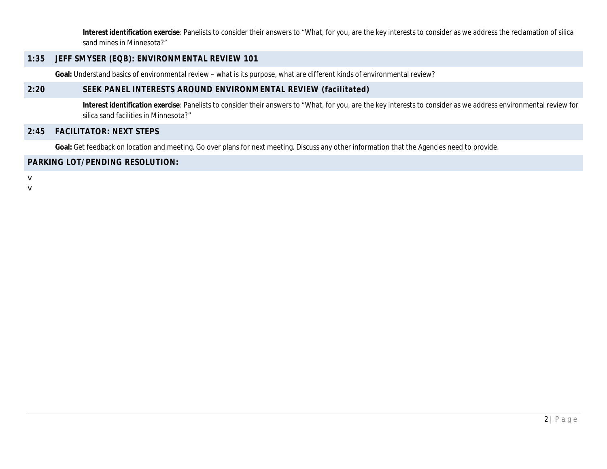**Interest identification exercise**: Panelists to consider their answers to "What, for you, are the key interests to consider as we address the reclamation of silica sand mines in Minnesota?"

#### **1:35 JEFF SMYSER (EQB): ENVIRONMENTAL REVIEW 101**

**Goal:** Understand basics of environmental review – what is its purpose, what are different kinds of environmental review?

## **2:20 SEEK PANEL INTERESTS AROUND ENVIRONMENTAL REVIEW (facilitated)**

**Interest identification exercise**: Panelists to consider their answers to "What, for you, are the key interests to consider as we address environmental review for silica sand facilities in Minnesota?"

# **2:45 FACILITATOR: NEXT STEPS**

Goal: Get feedback on location and meeting. Go over plans for next meeting. Discuss any other information that the Agencies need to provide.

# **PARKING LOT/PENDING RESOLUTION:**

v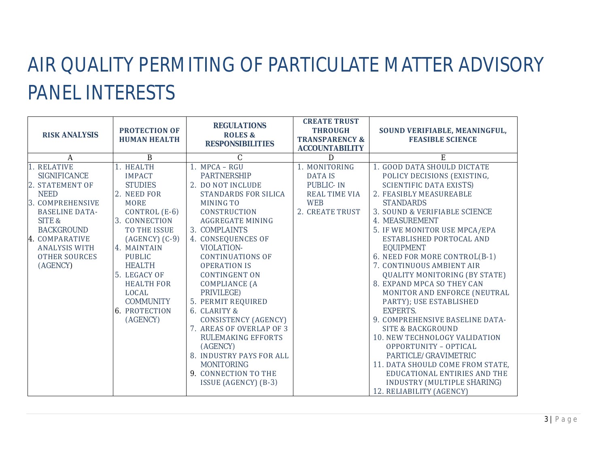# AIR QUALITY PERMITING OF PARTICULATE MATTER ADVISORY PANEL INTERESTS

| <b>RISK ANALYSIS</b>                                                                                                                                                                                                           | <b>PROTECTION OF</b><br><b>HUMAN HEALTH</b>                                                                                                                                                                                                                                                                 | <b>REGULATIONS</b><br><b>ROLES &amp;</b><br><b>RESPONSIBILITIES</b>                                                                                                                                                                                                                                                                                                                                                                                                                                                                                                         | <b>CREATE TRUST</b><br><b>THROUGH</b><br><b>TRANSPARENCY &amp;</b><br><b>ACCOUNTABILITY</b>                  | SOUND VERIFIABLE, MEANINGFUL,<br><b>FEASIBLE SCIENCE</b>                                                                                                                                                                                                                                                                                                                                                                                                                                                                                                                                                                                                                                                                                                                                     |
|--------------------------------------------------------------------------------------------------------------------------------------------------------------------------------------------------------------------------------|-------------------------------------------------------------------------------------------------------------------------------------------------------------------------------------------------------------------------------------------------------------------------------------------------------------|-----------------------------------------------------------------------------------------------------------------------------------------------------------------------------------------------------------------------------------------------------------------------------------------------------------------------------------------------------------------------------------------------------------------------------------------------------------------------------------------------------------------------------------------------------------------------------|--------------------------------------------------------------------------------------------------------------|----------------------------------------------------------------------------------------------------------------------------------------------------------------------------------------------------------------------------------------------------------------------------------------------------------------------------------------------------------------------------------------------------------------------------------------------------------------------------------------------------------------------------------------------------------------------------------------------------------------------------------------------------------------------------------------------------------------------------------------------------------------------------------------------|
| A                                                                                                                                                                                                                              | $\bf{B}$                                                                                                                                                                                                                                                                                                    | $\mathcal{C}$                                                                                                                                                                                                                                                                                                                                                                                                                                                                                                                                                               | D                                                                                                            | E                                                                                                                                                                                                                                                                                                                                                                                                                                                                                                                                                                                                                                                                                                                                                                                            |
| 1. RELATIVE<br><b>SIGNIFICANCE</b><br>2. STATEMENT OF<br><b>NEED</b><br>3. COMPREHENSIVE<br><b>BASELINE DATA-</b><br>SITE &<br><b>BACKGROUND</b><br>4. COMPARATIVE<br><b>ANALYSIS WITH</b><br><b>OTHER SOURCES</b><br>(AGENCY) | 1. HEALTH<br><b>IMPACT</b><br><b>STUDIES</b><br>2. NEED FOR<br><b>MORE</b><br>CONTROL $(E-6)$<br>3. CONNECTION<br>TO THE ISSUE<br>$(AGENCY)$ $(C-9)$<br>4. MAINTAIN<br><b>PUBLIC</b><br><b>HEALTH</b><br>5. LEGACY OF<br><b>HEALTH FOR</b><br>LOCAL<br><b>COMMUNITY</b><br><b>6. PROTECTION</b><br>(AGENCY) | 1. MPCA-RGU<br><b>PARTNERSHIP</b><br>2. DO NOT INCLUDE<br><b>STANDARDS FOR SILICA</b><br>MINING TO<br><b>CONSTRUCTION</b><br><b>AGGREGATE MINING</b><br>3. COMPLAINTS<br>4. CONSEQUENCES OF<br><b>VIOLATION-</b><br><b>CONTINUATIONS OF</b><br><b>OPERATION IS</b><br><b>CONTINGENT ON</b><br><b>COMPLIANCE (A</b><br>PRIVILEGE)<br>5. PERMIT REQUIRED<br>6. CLARITY &<br><b>CONSISTENCY (AGENCY)</b><br>7. AREAS OF OVERLAP OF 3<br><b>RULEMAKING EFFORTS</b><br>(AGENCY)<br>8. INDUSTRY PAYS FOR ALL<br><b>MONITORING</b><br>9. CONNECTION TO THE<br>ISSUE (AGENCY) (B-3) | 1. MONITORING<br><b>DATA IS</b><br><b>PUBLIC-IN</b><br><b>REAL TIME VIA</b><br><b>WEB</b><br>2. CREATE TRUST | 1. GOOD DATA SHOULD DICTATE<br>POLICY DECISIONS (EXISTING,<br><b>SCIENTIFIC DATA EXISTS)</b><br>2. FEASIBLY MEASUREABLE<br><b>STANDARDS</b><br>3. SOUND & VERIFIABLE SCIENCE<br>4. MEASUREMENT<br>5. IF WE MONITOR USE MPCA/EPA<br>ESTABLISHED PORTOCAL AND<br><b>EQUIPMENT</b><br>6. NEED FOR MORE CONTROL(B-1)<br>7. CONTINUOUS AMBIENT AIR<br><b>QUALITY MONITORING (BY STATE)</b><br>8. EXPAND MPCA SO THEY CAN<br>MONITOR AND ENFORCE (NEUTRAL<br>PARTY); USE ESTABLISHED<br><b>EXPERTS.</b><br>9. COMPREHENSIVE BASELINE DATA-<br><b>SITE &amp; BACKGROUND</b><br><b>10. NEW TECHNOLOGY VALIDATION</b><br>OPPORTUNITY - OPTICAL<br>PARTICLE/GRAVIMETRIC<br>11. DATA SHOULD COME FROM STATE.<br>EDUCATIONAL ENTIRIES AND THE<br>INDUSTRY (MULTIPLE SHARING)<br>12. RELIABILITY (AGENCY) |